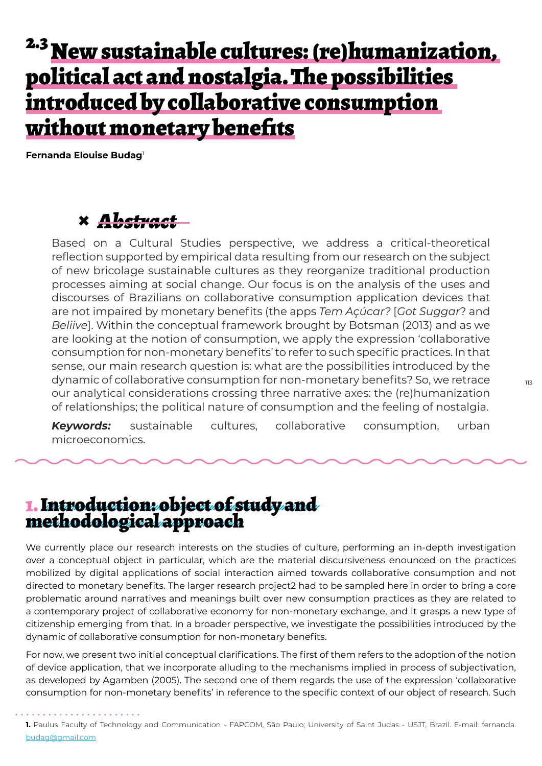## <sup>2.3</sup> New sustainable cultures: (re)humanization, political act and nostalgia. The possibilities introduced by collaborative consumption without monetary benefits

**Fernanda Elouise Budag**<sup>1</sup>

### **×** *Abstract*

Based on a Cultural Studies perspective, we address a critical-theoretical reflection supported by empirical data resulting from our research on the subject of new bricolage sustainable cultures as they reorganize traditional production processes aiming at social change. Our focus is on the analysis of the uses and discourses of Brazilians on collaborative consumption application devices that are not impaired by monetary benefits (the apps *Tem Açúcar?* [*Got Suggar*? and *Beliive*]. Within the conceptual framework brought by Botsman (2013) and as we are looking at the notion of consumption, we apply the expression 'collaborative consumption for non-monetary benefits' to refer to such specific practices. In that sense, our main research question is: what are the possibilities introduced by the dynamic of collaborative consumption for non-monetary benefits? So, we retrace our analytical considerations crossing three narrative axes: the (re)humanization of relationships; the political nature of consumption and the feeling of nostalgia.

*Keywords:* sustainable cultures, collaborative consumption, urban microeconomics.

### 1. Introduction: object of study and methodological approach

We currently place our research interests on the studies of culture, performing an in-depth investigation over a conceptual object in particular, which are the material discursiveness enounced on the practices mobilized by digital applications of social interaction aimed towards collaborative consumption and not directed to monetary benefits. The larger research project2 had to be sampled here in order to bring a core problematic around narratives and meanings built over new consumption practices as they are related to a contemporary project of collaborative economy for non-monetary exchange, and it grasps a new type of citizenship emerging from that. In a broader perspective, we investigate the possibilities introduced by the dynamic of collaborative consumption for non-monetary benefits.

For now, we present two initial conceptual clarifications. The first of them refers to the adoption of the notion of device application, that we incorporate alluding to the mechanisms implied in process of subjectivation, as developed by Agamben (2005). The second one of them regards the use of the expression 'collaborative consumption for non-monetary benefits' in reference to the specific context of our object of research. Such

**<sup>1.</sup>** Paulus Faculty of Technology and Communication - FAPCOM, São Paulo; University of Saint Judas - USJT, Brazil. E-mail: fernanda. budag@gmail.com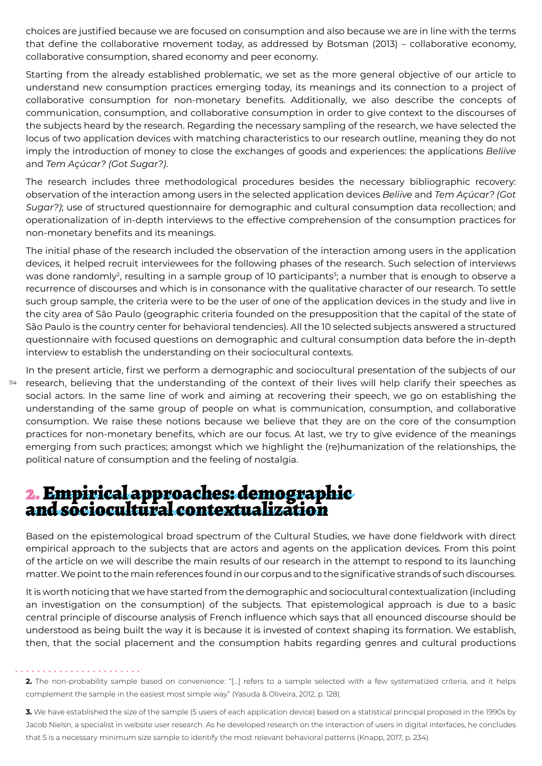choices are justified because we are focused on consumption and also because we are in line with the terms that define the collaborative movement today, as addressed by Botsman (2013) – collaborative economy, collaborative consumption, shared economy and peer economy.

Starting from the already established problematic, we set as the more general objective of our article to understand new consumption practices emerging today, its meanings and its connection to a project of collaborative consumption for non-monetary benefits. Additionally, we also describe the concepts of communication, consumption, and collaborative consumption in order to give context to the discourses of the subjects heard by the research. Regarding the necessary sampling of the research, we have selected the locus of two application devices with matching characteristics to our research outline, meaning they do not imply the introduction of money to close the exchanges of goods and experiences: the applications *Beliive* and *Tem Açúcar? (Got Sugar?)*.

The research includes three methodological procedures besides the necessary bibliographic recovery: observation of the interaction among users in the selected application devices *Beliive* and *Tem Açúcar? (Got Sugar?)*; use of structured questionnaire for demographic and cultural consumption data recollection; and operationalization of in-depth interviews to the effective comprehension of the consumption practices for non-monetary benefits and its meanings.

The initial phase of the research included the observation of the interaction among users in the application devices, it helped recruit interviewees for the following phases of the research. Such selection of interviews was done randomly<sup>2</sup>, resulting in a sample group of 10 participants $^3$ ; a number that is enough to observe a recurrence of discourses and which is in consonance with the qualitative character of our research. To settle such group sample, the criteria were to be the user of one of the application devices in the study and live in the city area of São Paulo (geographic criteria founded on the presupposition that the capital of the state of São Paulo is the country center for behavioral tendencies). All the 10 selected subjects answered a structured questionnaire with focused questions on demographic and cultural consumption data before the in-depth interview to establish the understanding on their sociocultural contexts.

114 In the present article, first we perform a demographic and sociocultural presentation of the subjects of our research, believing that the understanding of the context of their lives will help clarify their speeches as social actors. In the same line of work and aiming at recovering their speech, we go on establishing the understanding of the same group of people on what is communication, consumption, and collaborative consumption. We raise these notions because we believe that they are on the core of the consumption practices for non-monetary benefits, which are our focus. At last, we try to give evidence of the meanings emerging from such practices; amongst which we highlight the (re)humanization of the relationships, the political nature of consumption and the feeling of nostalgia.

## 2. Empirical approaches: demographic and sociocultural contextualization

Based on the epistemological broad spectrum of the Cultural Studies, we have done fieldwork with direct empirical approach to the subjects that are actors and agents on the application devices. From this point of the article on we will describe the main results of our research in the attempt to respond to its launching matter. We point to the main references found in our corpus and to the significative strands of such discourses.

It is worth noticing that we have started from the demographic and sociocultural contextualization (including an investigation on the consumption) of the subjects. That epistemological approach is due to a basic central principle of discourse analysis of French influence which says that all enounced discourse should be understood as being built the way it is because it is invested of context shaping its formation. We establish, then, that the social placement and the consumption habits regarding genres and cultural productions

**2.** The non-probability sample based on convenience: "[...] refers to a sample selected with a few systematized criteria, and it helps complement the sample in the easiest most simple way" (Yasuda & Oliveira, 2012, p. 128).

**3.** We have established the size of the sample (5 users of each application device) based on a statistical principal proposed in the 1990s by Jacob Nielsn, a specialist in website user research. As he developed research on the interaction of users in digital interfaces, he concludes that 5 is a necessary minimum size sample to identify the most relevant behavioral patterns (Knapp, 2017, p. 234).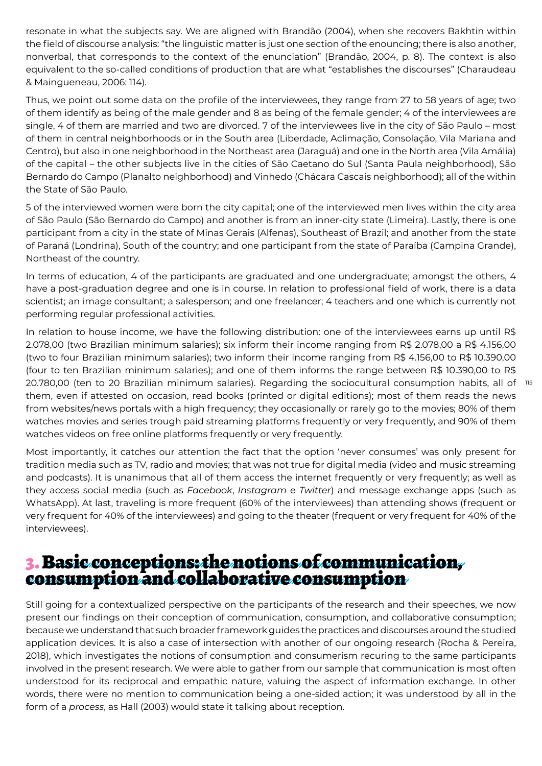resonate in what the subjects say. We are aligned with Brandão (2004), when she recovers Bakhtin within the field of discourse analysis: "the linguistic matter is just one section of the enouncing; there is also another, nonverbal, that corresponds to the context of the enunciation" (Brandão, 2004, p. 8). The context is also equivalent to the so-called conditions of production that are what "establishes the discourses" (Charaudeau & Maingueneau, 2006: 114).

Thus, we point out some data on the profile of the interviewees, they range from 27 to 58 years of age; two of them identify as being of the male gender and 8 as being of the female gender; 4 of the interviewees are single, 4 of them are married and two are divorced. 7 of the interviewees live in the city of São Paulo – most of them in central neighborhoods or in the South area (Liberdade, Aclimação, Consolação, Vila Mariana and Centro), but also in one neighborhood in the Northeast area (Jaraguá) and one in the North area (Vila Amália) of the capital – the other subjects live in the cities of São Caetano do Sul (Santa Paula neighborhood), São Bernardo do Campo (Planalto neighborhood) and Vinhedo (Chácara Cascais neighborhood); all of the within the State of São Paulo.

5 of the interviewed women were born the city capital; one of the interviewed men lives within the city area of São Paulo (São Bernardo do Campo) and another is from an inner-city state (Limeira). Lastly, there is one participant from a city in the state of Minas Gerais (Alfenas), Southeast of Brazil; and another from the state of Paraná (Londrina), South of the country; and one participant from the state of Paraíba (Campina Grande), Northeast of the country.

In terms of education, 4 of the participants are graduated and one undergraduate; amongst the others, 4 have a post-graduation degree and one is in course. In relation to professional field of work, there is a data scientist; an image consultant; a salesperson; and one freelancer; 4 teachers and one which is currently not performing regular professional activities.

20.780,00 (ten to 20 Brazilian minimum salaries). Regarding the sociocultural consumption habits, all of  $^{\circ}$  15 In relation to house income, we have the following distribution: one of the interviewees earns up until R\$ 2.078,00 (two Brazilian minimum salaries); six inform their income ranging from R\$ 2.078,00 a R\$ 4.156,00 (two to four Brazilian minimum salaries); two inform their income ranging from R\$ 4.156,00 to R\$ 10.390,00 (four to ten Brazilian minimum salaries); and one of them informs the range between R\$ 10.390,00 to R\$ them, even if attested on occasion, read books (printed or digital editions); most of them reads the news from websites/news portals with a high frequency; they occasionally or rarely go to the movies; 80% of them watches movies and series trough paid streaming platforms frequently or very frequently, and 90% of them watches videos on free online platforms frequently or very frequently.

Most importantly, it catches our attention the fact that the option 'never consumes' was only present for tradition media such as TV, radio and movies; that was not true for digital media (video and music streaming and podcasts). It is unanimous that all of them access the internet frequently or very frequently; as well as they access social media (such as *Facebook*, *Instagram* e *Twitter*) and message exchange apps (such as WhatsApp). At last, traveling is more frequent (60% of the interviewees) than attending shows (frequent or very frequent for 40% of the interviewees) and going to the theater (frequent or very frequent for 40% of the interviewees).

### 3. Basic conceptions: the notions of communication, consumption and collaborative consumption

Still going for a contextualized perspective on the participants of the research and their speeches, we now present our findings on their conception of communication, consumption, and collaborative consumption; because we understand that such broader framework guides the practices and discourses around the studied application devices. It is also a case of intersection with another of our ongoing research (Rocha & Pereira, 2018), which investigates the notions of consumption and consumerism recuring to the same participants involved in the present research. We were able to gather from our sample that communication is most often understood for its reciprocal and empathic nature, valuing the aspect of information exchange. In other words, there were no mention to communication being a one-sided action; it was understood by all in the form of a *process*, as Hall (2003) would state it talking about reception.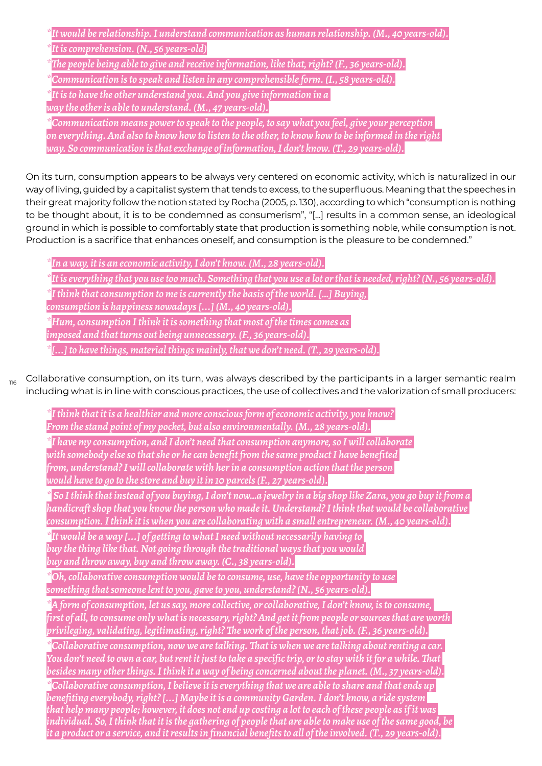| $*$ It would be relationship. I understand communication as human relationship. (M., 40 years-old).                                                                                                                                                                                              |
|--------------------------------------------------------------------------------------------------------------------------------------------------------------------------------------------------------------------------------------------------------------------------------------------------|
| *It is comprehension. (N., 56 years-old)                                                                                                                                                                                                                                                         |
| $*$ The people being able to give and receive information, like that, right? (F., 36 years-old).                                                                                                                                                                                                 |
| *Communication is to speak and listen in any comprehensible form. (I., 58 years-old).                                                                                                                                                                                                            |
| $^*$ It is to have the other understand you. And you give information in a<br>way the other is able to understand. (M., 47 years-old).                                                                                                                                                           |
| *Communication means power to speak to the people, to say what you feel, give your perception<br>on everything. And also to know how to listen to the other, to know how to be informed in the right<br>way. So communication is that exchange of information, I don't know. (T., 29 years-old). |

On its turn, consumption appears to be always very centered on economic activity, which is naturalized in our way of living, guided by a capitalist system that tends to excess, to the superfluous. Meaning that the speeches in their great majority follow the notion stated by Rocha (2005, p. 130), according to which "consumption is nothing to be thought about, it is to be condemned as consumerism", "[...] results in a common sense, an ideological ground in which is possible to comfortably state that production is something noble, while consumption is not. Production is a sacrifice that enhances oneself, and consumption is the pleasure to be condemned."

*\*In a way, it is an economic activity, I don't know. (M., 28 years-old).*

*\*It is everything that you use too much. Something that you use a lot or that is needed, right? (N., 56 years-old).*

*\*I think that consumption to me is currently the basis of the world. […] Buying,* 

*consumption is happiness nowadays [...] (M., 40 years-old).*

*\*Hum, consumption I think it is something that most of the times comes as* 

*imposed and that turns out being unnecessary. (F., 36 years-old).*

*\*[...] to have things, material things mainly, that we don't need. (T., 29 years-old).*

116 Collaborative consumption, on its turn, was always described by the participants in a larger semantic realm including what is in line with conscious practices, the use of collectives and the valorization of small producers:

*\*I think that it is a healthier and more conscious form of economic activity, you know? From the stand point of my pocket, but also environmentally. (M., 28 years-old).*

*\*I have my consumption, and I don't need that consumption anymore, so I will collaborate with somebody else so that she or he can benefit from the same product I have benefited from, understand? I will collaborate with her in a consumption action that the person would have to go to the store and buy it in 10 parcels (F., 27 years-old).*

*\* So I think that instead of you buying, I don't now…a jewelry in a big shop like Zara, you go buy it from a handicraft shop that you know the person who made it. Understand? I think that would be collaborative consumption. I think it is when you are collaborating with a small entrepreneur. (M., 40 years-old).*

*\*It would be a way [...] of getting to what I need without necessarily having to buy the thing like that. Not going through the traditional ways that you would buy and throw away, buy and throw away. (C., 38 years-old).*

*\*Oh, collaborative consumption would be to consume, use, have the opportunity to use something that someone lent to you, gave to you, understand? (N., 56 years-old).*

*\*A form of consumption, let us say, more collective, or collaborative, I don't know, is to consume, first of all, to consume only what is necessary, right? And get it from people or sources that are worth privileging, validating, legitimating, right? The work of the person, that job. (F., 36 years-old).*

*\*Collaborative consumption, now we are talking. That is when we are talking about renting a car. You don't need to own a car, but rent it just to take a specific trip, or to stay with it for a while. That besides many other things. I think it a way of being concerned about the planet. (M., 37 years-old).*

*\*Collaborative consumption, I believe it is everything that we are able to share and that ends up benefiting everybody, right? [...] Maybe it is a community Garden. I don't know, a ride system that help many people; however, it does not end up costing a lot to each of these people as if it was individual. So, I think that it is the gathering of people that are able to make use of the same good, be it a product or a service, and it results in financial benefits to all of the involved. (T., 29 years-old).*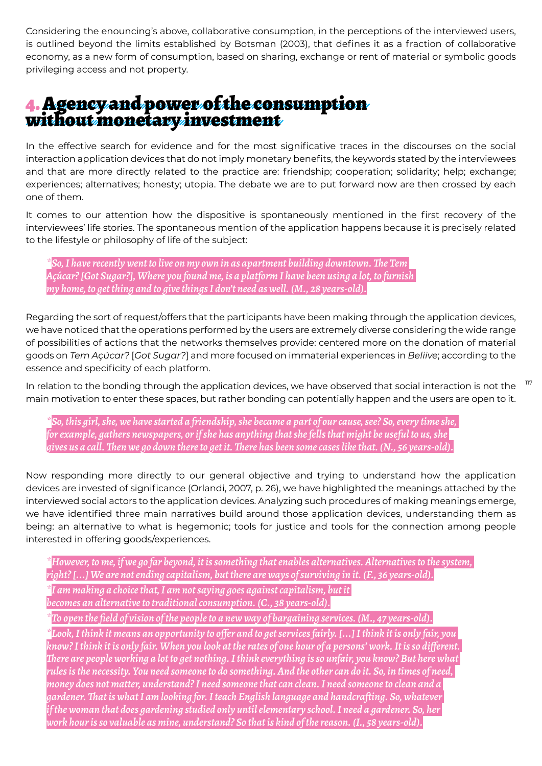Considering the enouncing's above, collaborative consumption, in the perceptions of the interviewed users, is outlined beyond the limits established by Botsman (2003), that defines it as a fraction of collaborative economy, as a new form of consumption, based on sharing, exchange or rent of material or symbolic goods privileging access and not property.

# 4. Agency and power of the consumption without monetary investment

In the effective search for evidence and for the most significative traces in the discourses on the social interaction application devices that do not imply monetary benefits, the keywords stated by the interviewees and that are more directly related to the practice are: friendship; cooperation; solidarity; help; exchange; experiences; alternatives; honesty; utopia. The debate we are to put forward now are then crossed by each one of them.

It comes to our attention how the dispositive is spontaneously mentioned in the first recovery of the interviewees' life stories. The spontaneous mention of the application happens because it is precisely related to the lifestyle or philosophy of life of the subject:

*\*So, I have recently went to live on my own in as apartment building downtown. The Tem Açúcar? [Got Sugar?], Where you found me, is a platform I have been using a lot, to furnish my home, to get thing and to give things I don't need as well. (M., 28 years-old).*

Regarding the sort of request/offers that the participants have been making through the application devices, we have noticed that the operations performed by the users are extremely diverse considering the wide range of possibilities of actions that the networks themselves provide: centered more on the donation of material goods on *Tem Açúcar?* [*Got Sugar?*] and more focused on immaterial experiences in *Beliive*; according to the essence and specificity of each platform.

117 In relation to the bonding through the application devices, we have observed that social interaction is not the main motivation to enter these spaces, but rather bonding can potentially happen and the users are open to it.

*\*So, this girl, she, we have started a friendship, she became a part of our cause, see? So, every time she, for example, gathers newspapers, or if she has anything that she fells that might be useful to us, she gives us a call. Then we go down there to get it. There has been some cases like that. (N., 56 years-old).*

Now responding more directly to our general objective and trying to understand how the application devices are invested of significance (Orlandi, 2007, p. 26), we have highlighted the meanings attached by the interviewed social actors to the application devices. Analyzing such procedures of making meanings emerge, we have identified three main narratives build around those application devices, understanding them as being: an alternative to what is hegemonic; tools for justice and tools for the connection among people interested in offering goods/experiences.

*\*However, to me, if we go far beyond, it is something that enables alternatives. Alternatives to the system, right? [...] We are not ending capitalism, but there are ways of surviving in it. (F., 36 years-old). \*I am making a choice that, I am not saying goes against capitalism, but it becomes an alternative to traditional consumption. (C., 38 years-old).*

*\*To open the field of vision of the people to a new way of bargaining services. (M., 47 years-old).*

*\*Look, I think it means an opportunity to offer and to get services fairly. [...] I think it is only fair, you know? I think it is only fair. When you look at the rates of one hour of a persons' work. It is so different. There are people working a lot to get nothing. I think everything is so unfair, you know? But here what rules is the necessity. You need someone to do something. And the other can do it. So, in times of need, money does not matter, understand? I need someone that can clean. I need someone to clean and a gardener. That is what I am looking for. I teach English language and handcrafting. So, whatever if the woman that does gardening studied only until elementary school. I need a gardener. So, her work hour is so valuable as mine, understand? So that is kind of the reason. (I., 58 years-old).*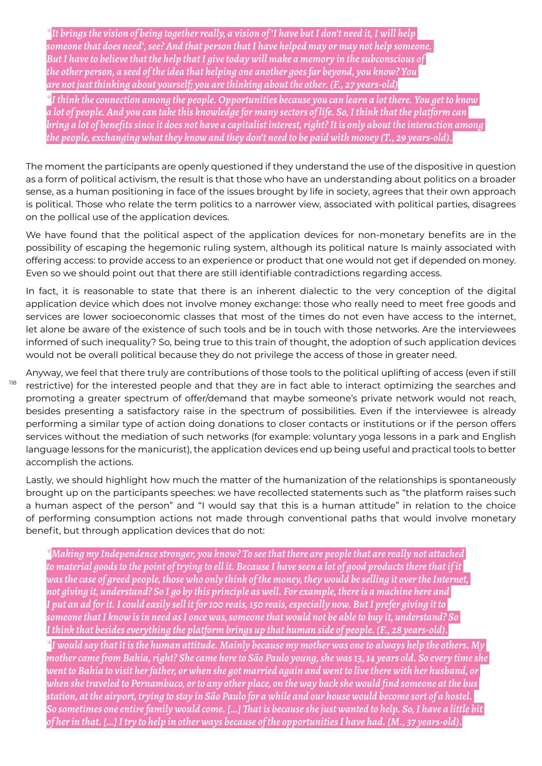*\*It brings the vision of being together really, a vision of 'I have but I don't need it, I will help someone that does need', see? And that person that I have helped may or may not help someone. But I have to believe that the help that I give today will make a memory in the subconscious of the other person, a seed of the idea that helping one another goes far beyond, you know? You are not just thinking about yourself; you are thinking about the other. (F., 27 years-old)*

*\*I think the connection among the people. Opportunities because you can learn a lot there. You get to know a lot of people. And you can take this knowledge for many sectors of life. So, I think that the platform can bring a lot of benefits since it does not have a capitalist interest, right? It is only about the interaction among the people, exchanging what they know and they don't need to be paid with money (T., 29 years-old).*

The moment the participants are openly questioned if they understand the use of the dispositive in question as a form of political activism, the result is that those who have an understanding about politics on a broader sense, as a human positioning in face of the issues brought by life in society, agrees that their own approach is political. Those who relate the term politics to a narrower view, associated with political parties, disagrees on the pollical use of the application devices.

We have found that the political aspect of the application devices for non-monetary benefits are in the possibility of escaping the hegemonic ruling system, although its political nature Is mainly associated with offering access: to provide access to an experience or product that one would not get if depended on money. Even so we should point out that there are still identifiable contradictions regarding access.

In fact, it is reasonable to state that there is an inherent dialectic to the very conception of the digital application device which does not involve money exchange: those who really need to meet free goods and services are lower socioeconomic classes that most of the times do not even have access to the internet, let alone be aware of the existence of such tools and be in touch with those networks. Are the interviewees informed of such inequality? So, being true to this train of thought, the adoption of such application devices would not be overall political because they do not privilege the access of those in greater need.

Anyway, we feel that there truly are contributions of those tools to the political uplifting of access (even if still restrictive) for the interested people and that they are in fact able to interact optimizing the searches and promoting a greater spectrum of offer/demand that maybe someone's private network would not reach, besides presenting a satisfactory raise in the spectrum of possibilities. Even if the interviewee is already performing a similar type of action doing donations to closer contacts or institutions or if the person offers services without the mediation of such networks (for example: voluntary yoga lessons in a park and English language lessons for the manicurist), the application devices end up being useful and practical tools to better accomplish the actions.

118

Lastly, we should highlight how much the matter of the humanization of the relationships is spontaneously brought up on the participants speeches: we have recollected statements such as "the platform raises such a human aspect of the person" and "I would say that this is a human attitude" in relation to the choice of performing consumption actions not made through conventional paths that would involve monetary benefit, but through application devices that do not:

*\*Making my Independence stronger, you know? To see that there are people that are really not attached to material goods to the point of trying to ell it. Because I have seen a lot of good products there that if it was the case of greed people, those who only think of the money, they would be selling it over the Internet, not giving it, understand? So I go by this principle as well. For example, there is a machine here and I put an ad for it. I could easily sell it for 100 reais, 150 reais, especially now. But I prefer giving it to someone that I know is in need as I once was, someone that would not be able to buy it, understand? So I think that besides everything the platform brings up that human side of people. (F., 28 years-old).*

*\*I would say that it is the human attitude. Mainly because my mother was one to always help the others. My mother came from Bahia, right? She came here to São Paulo young, she was 13, 14 years old. So every time she went to Bahia to visit her father, or when she got married again and went to live there with her husband, or when she traveled to Pernambuco, or to any other place, on the way back she would find someone at the bus station, at the airport, trying to stay in São Paulo for a while and our house would become sort of a hostel. So sometimes one entire family would come. […] That is because she just wanted to help. So, I have a little bit of her in that. […] I try to help in other ways because of the opportunities I have had. (M., 37 years-old).*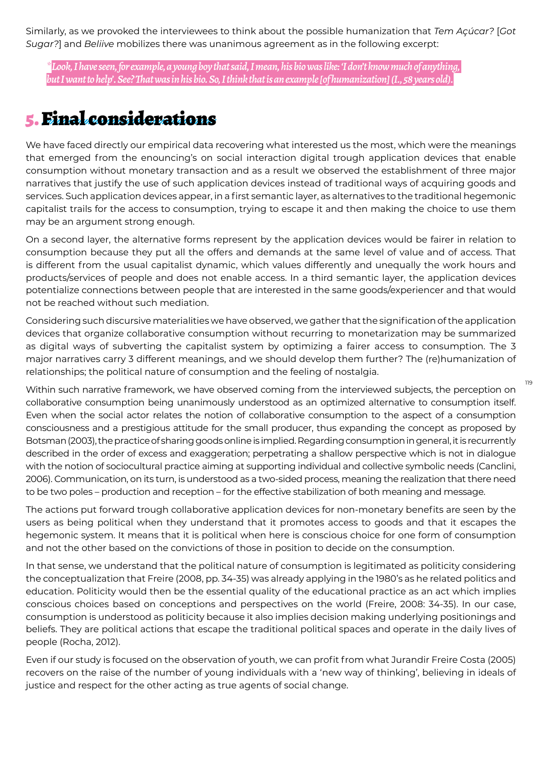Similarly, as we provoked the interviewees to think about the possible humanization that *Tem Açúcar?* [*Got Sugar?*] and *Beliive* mobilizes there was unanimous agreement as in the following excerpt:

*\*Look, I have seen, for example, a young boy that said, I mean, his bio was like: 'I don't know much of anything, but I want to help'. See? That was in his bio. So, I think that is an example [of humanization] (I., 58 years old).*

### 5. Final considerations

We have faced directly our empirical data recovering what interested us the most, which were the meanings that emerged from the enouncing's on social interaction digital trough application devices that enable consumption without monetary transaction and as a result we observed the establishment of three major narratives that justify the use of such application devices instead of traditional ways of acquiring goods and services. Such application devices appear, in a first semantic layer, as alternatives to the traditional hegemonic capitalist trails for the access to consumption, trying to escape it and then making the choice to use them may be an argument strong enough.

On a second layer, the alternative forms represent by the application devices would be fairer in relation to consumption because they put all the offers and demands at the same level of value and of access. That is different from the usual capitalist dynamic, which values differently and unequally the work hours and products/services of people and does not enable access. In a third semantic layer, the application devices potentialize connections between people that are interested in the same goods/experiencer and that would not be reached without such mediation.

Considering such discursive materialities we have observed, we gather that the signification of the application devices that organize collaborative consumption without recurring to monetarization may be summarized as digital ways of subverting the capitalist system by optimizing a fairer access to consumption. The 3 major narratives carry 3 different meanings, and we should develop them further? The (re)humanization of relationships; the political nature of consumption and the feeling of nostalgia.

Within such narrative framework, we have observed coming from the interviewed subjects, the perception on collaborative consumption being unanimously understood as an optimized alternative to consumption itself. Even when the social actor relates the notion of collaborative consumption to the aspect of a consumption consciousness and a prestigious attitude for the small producer, thus expanding the concept as proposed by Botsman (2003), the practice of sharing goods online is implied. Regarding consumption in general, it is recurrently described in the order of excess and exaggeration; perpetrating a shallow perspective which is not in dialogue with the notion of sociocultural practice aiming at supporting individual and collective symbolic needs (Canclini, 2006). Communication, on its turn, is understood as a two-sided process, meaning the realization that there need to be two poles – production and reception – for the effective stabilization of both meaning and message.

The actions put forward trough collaborative application devices for non-monetary benefits are seen by the users as being political when they understand that it promotes access to goods and that it escapes the hegemonic system. It means that it is political when here is conscious choice for one form of consumption and not the other based on the convictions of those in position to decide on the consumption.

In that sense, we understand that the political nature of consumption is legitimated as politicity considering the conceptualization that Freire (2008, pp. 34-35) was already applying in the 1980's as he related politics and education. Politicity would then be the essential quality of the educational practice as an act which implies conscious choices based on conceptions and perspectives on the world (Freire, 2008: 34-35). In our case, consumption is understood as politicity because it also implies decision making underlying positionings and beliefs. They are political actions that escape the traditional political spaces and operate in the daily lives of people (Rocha, 2012).

Even if our study is focused on the observation of youth, we can profit from what Jurandir Freire Costa (2005) recovers on the raise of the number of young individuals with a 'new way of thinking', believing in ideals of justice and respect for the other acting as true agents of social change.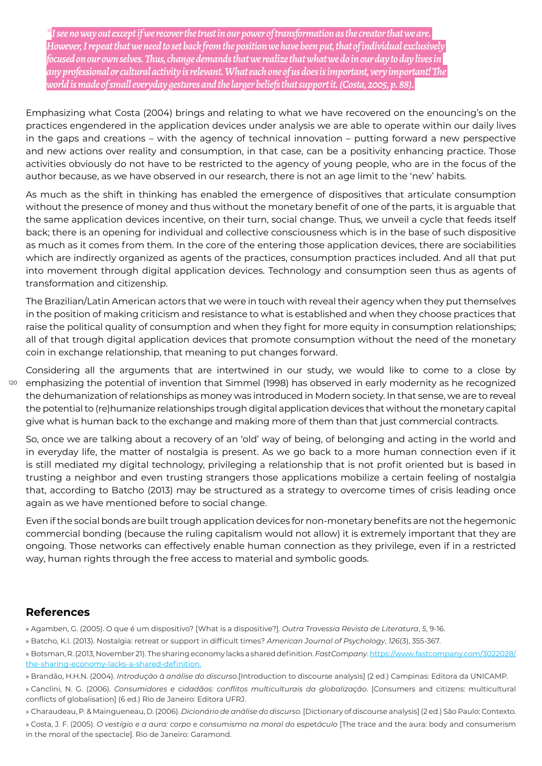*\*I see no way out except if we recover the trust in our power of transformation as the creator that we are. However, I repeat that we need to set back from the position we have been put, that of individual exclusivel focused on our own selves. Thus, change demands that we realize that what we do in our day to day lives in any professional or cultural activity is relevant. What each one of us does is important, very important! The world is made of small everyday gestures and the larger beliefs that support it. (Costa, 2005, p. 88).*

Emphasizing what Costa (2004) brings and relating to what we have recovered on the enouncing's on the practices engendered in the application devices under analysis we are able to operate within our daily lives in the gaps and creations – with the agency of technical innovation – putting forward a new perspective and new actions over reality and consumption, in that case, can be a positivity enhancing practice. Those activities obviously do not have to be restricted to the agency of young people, who are in the focus of the author because, as we have observed in our research, there is not an age limit to the 'new' habits.

As much as the shift in thinking has enabled the emergence of dispositives that articulate consumption without the presence of money and thus without the monetary benefit of one of the parts, it is arguable that the same application devices incentive, on their turn, social change. Thus, we unveil a cycle that feeds itself back; there is an opening for individual and collective consciousness which is in the base of such dispositive as much as it comes from them. In the core of the entering those application devices, there are sociabilities which are indirectly organized as agents of the practices, consumption practices included. And all that put into movement through digital application devices. Technology and consumption seen thus as agents of transformation and citizenship.

The Brazilian/Latin American actors that we were in touch with reveal their agency when they put themselves in the position of making criticism and resistance to what is established and when they choose practices that raise the political quality of consumption and when they fight for more equity in consumption relationships; all of that trough digital application devices that promote consumption without the need of the monetary coin in exchange relationship, that meaning to put changes forward.

120 Considering all the arguments that are intertwined in our study, we would like to come to a close by emphasizing the potential of invention that Simmel (1998) has observed in early modernity as he recognized the dehumanization of relationships as money was introduced in Modern society. In that sense, we are to reveal the potential to (re)humanize relationships trough digital application devices that without the monetary capital give what is human back to the exchange and making more of them than that just commercial contracts.

So, once we are talking about a recovery of an 'old' way of being, of belonging and acting in the world and in everyday life, the matter of nostalgia is present. As we go back to a more human connection even if it is still mediated my digital technology, privileging a relationship that is not profit oriented but is based in trusting a neighbor and even trusting strangers those applications mobilize a certain feeling of nostalgia that, according to Batcho (2013) may be structured as a strategy to overcome times of crisis leading once again as we have mentioned before to social change.

Even if the social bonds are built trough application devices for non-monetary benefits are not the hegemonic commercial bonding (because the ruling capitalism would not allow) it is extremely important that they are ongoing. Those networks can effectively enable human connection as they privilege, even if in a restricted way, human rights through the free access to material and symbolic goods.

### **References**

» Agamben, G. (2005). O que é um dispositivo? [What is a dispositive?]. *Outra Travessia Revista de Literatura*, *5*, 9-16.

» Batcho, K.I. (2013). Nostalgia: retreat or support in difficult times? *American Journal of Psychology*, *126*(3), 355-367.

» Canclini, N. G. (2006). *Consumidores e cidadãos: conflitos multiculturais da globalização*. [Consumers and citizens: multicultural conflicts of globalisation] (6 ed.) Rio de Janeiro: Editora UFRJ.

» Charaudeau, P. & Maingueneau, D. (2006). *Dicionário de análise do discurso*. [Dictionary of discourse analysis] (2 ed.) São Paulo: Contexto.

» Costa, J. F. (2005). *O vestígio e a aura: corpo e consumismo na moral do esp*et*áculo* [The trace and the aura: body and consumerism in the moral of the spectacle]. Rio de Janeiro: Garamond.

<sup>»</sup> Botsman, R. (2013, November 21). The sharing economy lacks a shared definition. *FastCompany*. https://www.fastcompany.com/3022028/ the-sharing-economy-lacks-a-shared-definition.

<sup>»</sup> Brandão, H.H.N. (2004). *Introdução à análise do discurso*.[Introduction to discourse analysis] (2 ed.) Campinas: Editora da UNICAMP.